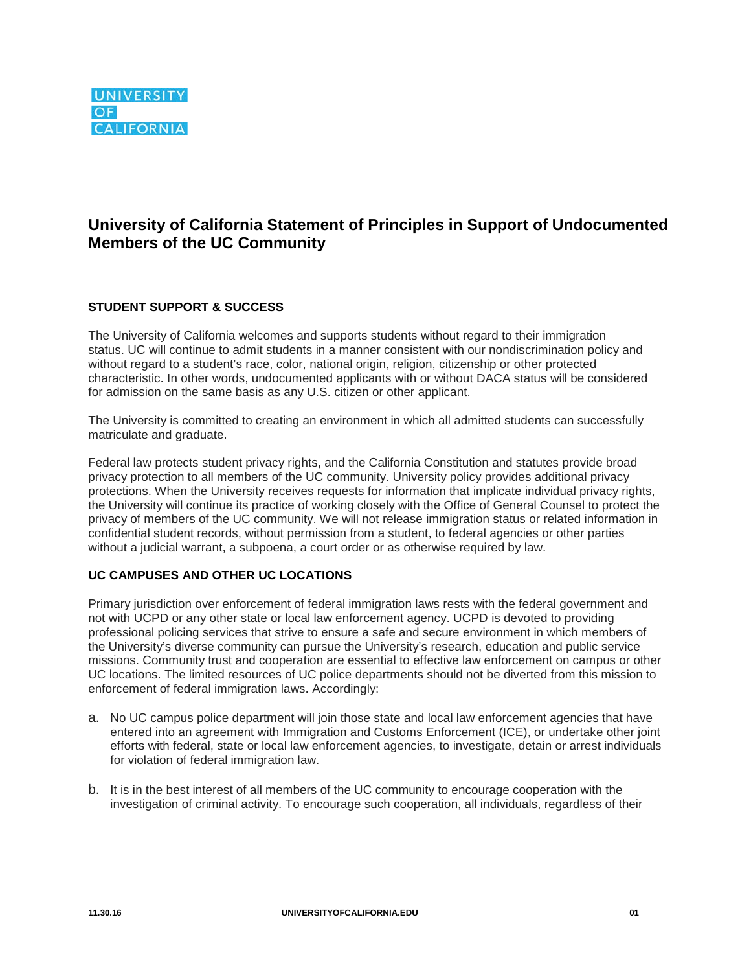# **University of California Statement of Principles in Support of Undocumented Members of the UC Community**

## **STUDENT SUPPORT & SUCCESS**

The University of California welcomes and supports students without regard to their immigration status. UC will continue to admit students in a manner consistent with our nondiscrimination policy and without regard to a student's race, color, national origin, religion, citizenship or other protected characteristic. In other words, undocumented applicants with or without DACA status will be considered for admission on the same basis as any U.S. citizen or other applicant.

The University is committed to creating an environment in which all admitted students can successfully matriculate and graduate.

Federal law protects student privacy rights, and the California Constitution and statutes provide broad privacy protection to all members of the UC community. University policy provides additional privacy protections. When the University receives requests for information that implicate individual privacy rights, the University will continue its practice of working closely with the Office of General Counsel to protect the privacy of members of the UC community. We will not release immigration status or related information in confidential student records, without permission from a student, to federal agencies or other parties without a judicial warrant, a subpoena, a court order or as otherwise required by law.

### **UC CAMPUSES AND OTHER UC LOCATIONS**

Primary jurisdiction over enforcement of federal immigration laws rests with the federal government and not with UCPD or any other state or local law enforcement agency. UCPD is devoted to providing professional policing services that strive to ensure a safe and secure environment in which members of the University's diverse community can pursue the University's research, education and public service missions. Community trust and cooperation are essential to effective law enforcement on campus or other UC locations. The limited resources of UC police departments should not be diverted from this mission to enforcement of federal immigration laws. Accordingly:

- a. No UC campus police department will join those state and local law enforcement agencies that have entered into an agreement with Immigration and Customs Enforcement (ICE), or undertake other joint efforts with federal, state or local law enforcement agencies, to investigate, detain or arrest individuals for violation of federal immigration law.
- b. It is in the best interest of all members of the UC community to encourage cooperation with the investigation of criminal activity. To encourage such cooperation, all individuals, regardless of their